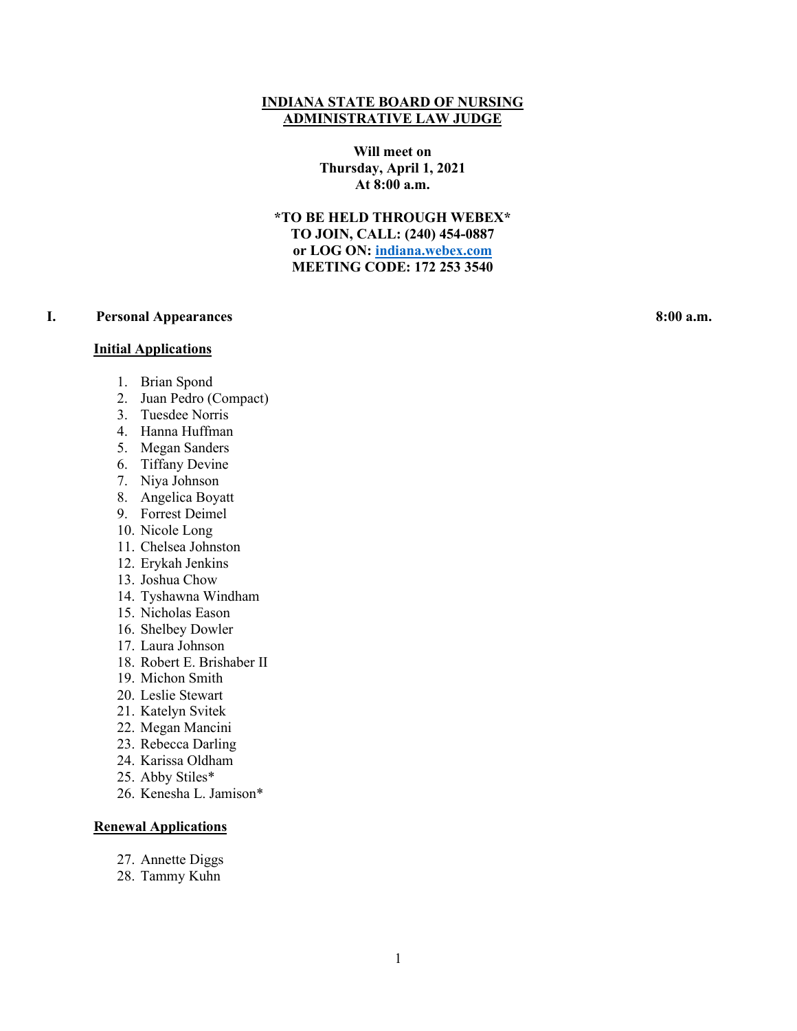#### **INDIANA STATE BOARD OF NURSING ADMINISTRATIVE LAW JUDGE**

**Will meet on Thursday, April 1, 2021 At 8:00 a.m.**

**\*TO BE HELD THROUGH WEBEX\* TO JOIN, CALL: (240) 454-0887 or LOG ON: [indiana.webex.com](https://indiana.webex.com/webappng/sites/indiana/dashboard?siteurl=indiana) MEETING CODE: 172 253 3540**

# **I. Personal Appearances 8:00 a.m.**

#### **Initial Applications**

- - 1. Brian Spond
	- 2. Juan Pedro (Compact)
	- 3. Tuesdee Norris
	- 4. Hanna Huffman
	- 5. Megan Sanders
	- 6. Tiffany Devine
	- 7. Niya Johnson
	- 8. Angelica Boyatt
	- 9. Forrest Deimel
	- 10. Nicole Long
	- 11. Chelsea Johnston
	- 12. Erykah Jenkins
	- 13. Joshua Chow
	- 14. Tyshawna Windham
	- 15. Nicholas Eason
	- 16. Shelbey Dowler
	- 17. Laura Johnson
	- 18. Robert E. Brishaber II
	- 19. Michon Smith
	- 20. Leslie Stewart
	- 21. Katelyn Svitek
	- 22. Megan Mancini
	- 23. Rebecca Darling
	- 24. Karissa Oldham
	- 25. Abby Stiles\*
	- 26. Kenesha L. Jamison\*

#### **Renewal Applications**

- 27. Annette Diggs
- 28. Tammy Kuhn